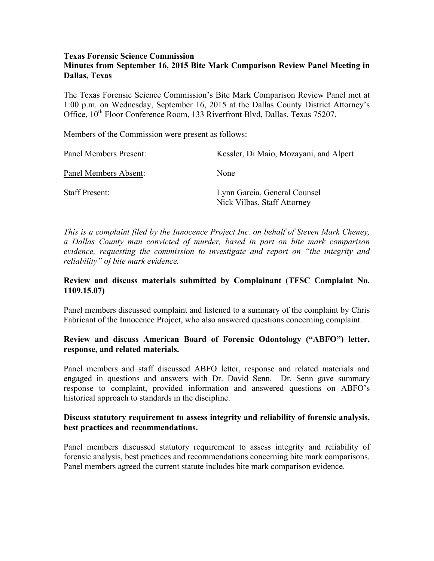#### **Texas Forensic Science Commission Minutes from September 16, 2015 Bite Mark Comparison Review Panel Meeting in Dallas, Texas**

The Texas Forensic Science Commission's Bite Mark Comparison Review Panel met at 1:00 p.m. on Wednesday, September 16, 2015 at the Dallas County District Attorney's Office,  $10^{th}$  Floor Conference Room, 133 Riverfront Blvd, Dallas, Texas 75207.

Members of the Commission were present as follows:

| Panel Members Present: | Kessler, Di Maio, Mozayani, and Alpert                      |
|------------------------|-------------------------------------------------------------|
| Panel Members Absent:  | None                                                        |
| <b>Staff Present:</b>  | Lynn Garcia, General Counsel<br>Nick Vilbas, Staff Attorney |

*This is a complaint filed by the Innocence Project Inc. on behalf of Steven Mark Cheney, a Dallas County man convicted of murder, based in part on bite mark comparison evidence, requesting the commission to investigate and report on "the integrity and reliability" of bite mark evidence.*

## **Review and discuss materials submitted by Complainant (TFSC Complaint No. 1109.15.07)**

Panel members discussed complaint and listened to a summary of the complaint by Chris Fabricant of the Innocence Project, who also answered questions concerning complaint.

## **Review and discuss American Board of Forensic Odontology ("ABFO") letter, response, and related materials.**

Panel members and staff discussed ABFO letter, response and related materials and engaged in questions and answers with Dr. David Senn. Dr. Senn gave summary response to complaint, provided information and answered questions on ABFO's historical approach to standards in the discipline.

## **Discuss statutory requirement to assess integrity and reliability of forensic analysis, best practices and recommendations.**

Panel members discussed statutory requirement to assess integrity and reliability of forensic analysis, best practices and recommendations concerning bite mark comparisons. Panel members agreed the current statute includes bite mark comparison evidence.